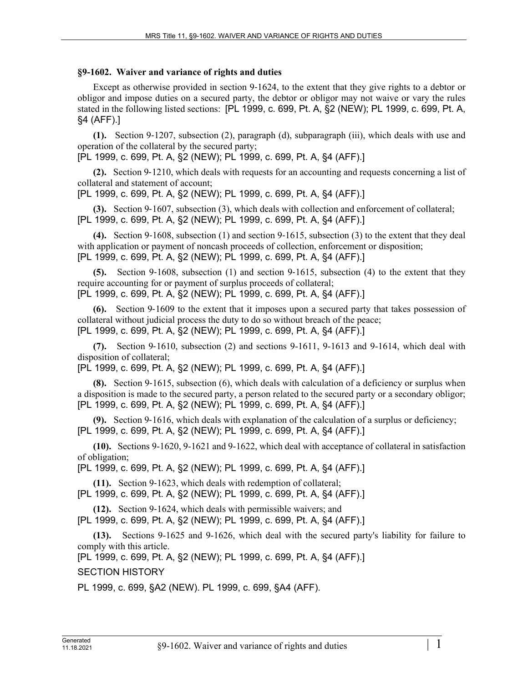## **§9-1602. Waiver and variance of rights and duties**

Except as otherwise provided in section 9–1624, to the extent that they give rights to a debtor or obligor and impose duties on a secured party, the debtor or obligor may not waive or vary the rules stated in the following listed sections: [PL 1999, c. 699, Pt. A, §2 (NEW); PL 1999, c. 699, Pt. A, §4 (AFF).]

**(1).** Section 9‑1207, subsection (2), paragraph (d), subparagraph (iii), which deals with use and operation of the collateral by the secured party;

[PL 1999, c. 699, Pt. A, §2 (NEW); PL 1999, c. 699, Pt. A, §4 (AFF).]

**(2).** Section 9‑1210, which deals with requests for an accounting and requests concerning a list of collateral and statement of account;

[PL 1999, c. 699, Pt. A, §2 (NEW); PL 1999, c. 699, Pt. A, §4 (AFF).]

**(3).** Section 9‑1607, subsection (3), which deals with collection and enforcement of collateral; [PL 1999, c. 699, Pt. A, §2 (NEW); PL 1999, c. 699, Pt. A, §4 (AFF).]

**(4).** Section 9‑1608, subsection (1) and section 9‑1615, subsection (3) to the extent that they deal with application or payment of noncash proceeds of collection, enforcement or disposition; [PL 1999, c. 699, Pt. A, §2 (NEW); PL 1999, c. 699, Pt. A, §4 (AFF).]

**(5).** Section 9‑1608, subsection (1) and section 9‑1615, subsection (4) to the extent that they require accounting for or payment of surplus proceeds of collateral; [PL 1999, c. 699, Pt. A, §2 (NEW); PL 1999, c. 699, Pt. A, §4 (AFF).]

**(6).** Section 9‑1609 to the extent that it imposes upon a secured party that takes possession of collateral without judicial process the duty to do so without breach of the peace; [PL 1999, c. 699, Pt. A, §2 (NEW); PL 1999, c. 699, Pt. A, §4 (AFF).]

**(7).** Section 9‑1610, subsection (2) and sections 9-1611, 9-1613 and 9-1614, which deal with disposition of collateral;

[PL 1999, c. 699, Pt. A, §2 (NEW); PL 1999, c. 699, Pt. A, §4 (AFF).]

**(8).** Section 9-1615, subsection (6), which deals with calculation of a deficiency or surplus when a disposition is made to the secured party, a person related to the secured party or a secondary obligor; [PL 1999, c. 699, Pt. A, §2 (NEW); PL 1999, c. 699, Pt. A, §4 (AFF).]

**(9).** Section 9‑1616, which deals with explanation of the calculation of a surplus or deficiency; [PL 1999, c. 699, Pt. A, §2 (NEW); PL 1999, c. 699, Pt. A, §4 (AFF).]

**(10).** Sections 9-1620, 9-1621 and 9-1622, which deal with acceptance of collateral in satisfaction of obligation;

[PL 1999, c. 699, Pt. A, §2 (NEW); PL 1999, c. 699, Pt. A, §4 (AFF).]

**(11).** Section 9‑1623, which deals with redemption of collateral;

[PL 1999, c. 699, Pt. A, §2 (NEW); PL 1999, c. 699, Pt. A, §4 (AFF).]

**(12).** Section 9‑1624, which deals with permissible waivers; and

[PL 1999, c. 699, Pt. A, §2 (NEW); PL 1999, c. 699, Pt. A, §4 (AFF).]

**(13).** Sections 9-1625 and 9-1626, which deal with the secured party's liability for failure to comply with this article.

[PL 1999, c. 699, Pt. A, §2 (NEW); PL 1999, c. 699, Pt. A, §4 (AFF).]

SECTION HISTORY

PL 1999, c. 699, §A2 (NEW). PL 1999, c. 699, §A4 (AFF).